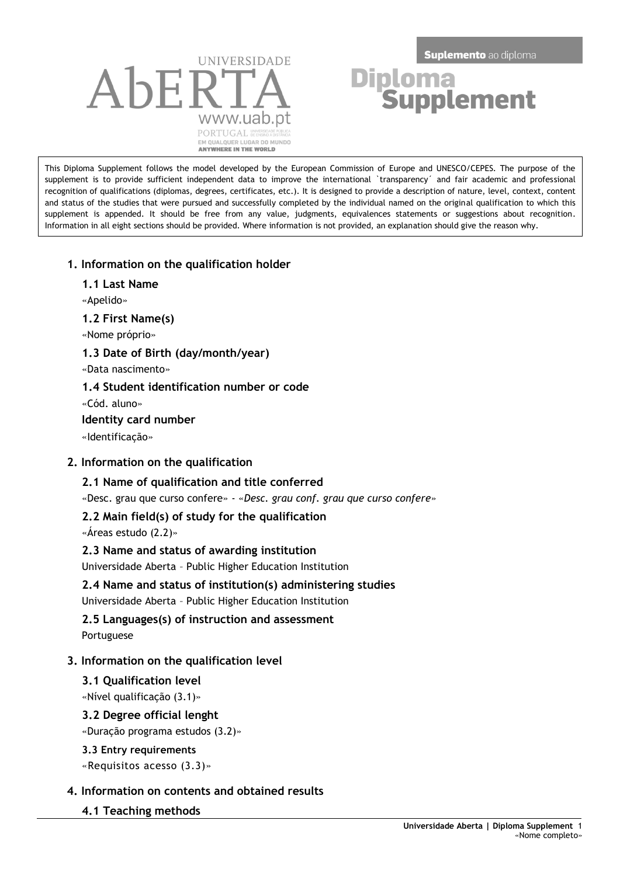

Diploma<br>Supplement

This Diploma Supplement follows the model developed by the European Commission of Europe and UNESCO/CEPES. The purpose of the supplement is to provide sufficient independent data to improve the international `transparency´ and fair academic and professional recognition of qualifications (diplomas, degrees, certificates, etc.). It is designed to provide a description of nature, level, context, content and status of the studies that were pursued and successfully completed by the individual named on the original qualification to which this supplement is appended. It should be free from any value, judgments, equivalences statements or suggestions about recognition. Information in all eight sections should be provided. Where information is not provided, an explanation should give the reason why.

#### **1. Information on the qualification holder**

- **1.1 Last Name**
- «Apelido»

**1.2 First Name(s)**

«Nome próprio»

**1.3 Date of Birth (day/month/year)**

«Data nascimento»

#### **1.4 Student identification number or code**

«Cód. aluno»

#### **Identity card number**

«Identificação»

## **2. Information on the qualification**

## **2.1 Name of qualification and title conferred**

«Desc. grau que curso confere» - «*Desc. grau conf. grau que curso confere*»

## **2.2 Main field(s) of study for the qualification**

«Áreas estudo (2.2)»

#### **2.3 Name and status of awarding institution**

Universidade Aberta – Public Higher Education Institution

## **2.4 Name and status of institution(s) administering studies**

Universidade Aberta – Public Higher Education Institution

**2.5 Languages(s) of instruction and assessment** Portuguese

## **3. Information on the qualification level**

## **3.1 Qualification level** «Nível qualificação (3.1)»

## **3.2 Degree official lenght**

«Duração programa estudos (3.2)»

#### **3.3 Entry requirements** «Requisitos acesso (3.3)»

## **4. Information on contents and obtained results**

#### **4.1 Teaching methods**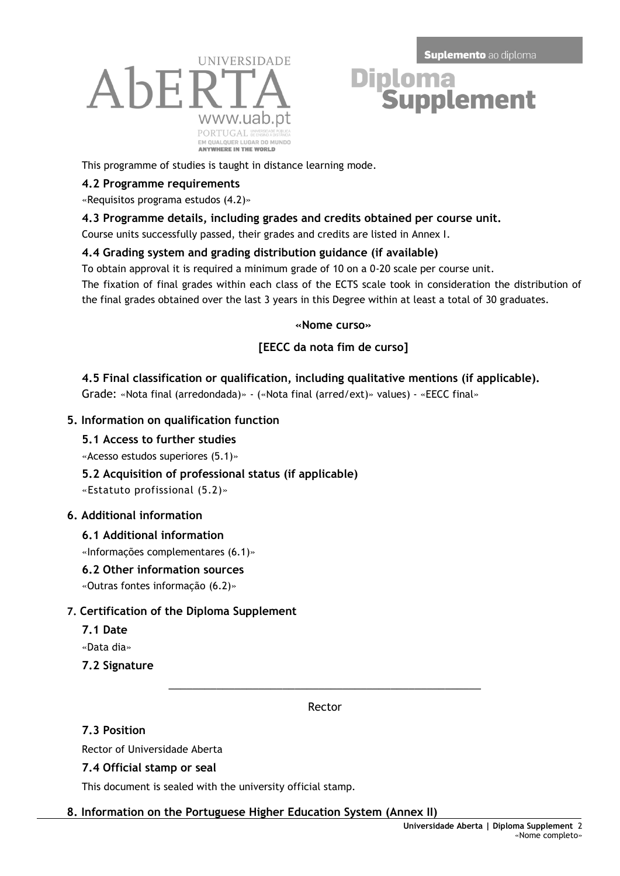



This programme of studies is taught in distance learning mode.

#### **4.2 Programme requirements**

«Requisitos programa estudos (4.2)»

#### **4.3 Programme details, including grades and credits obtained per course unit.**

Course units successfully passed, their grades and credits are listed in Annex I.

## **4.4 Grading system and grading distribution guidance (if available)**

To obtain approval it is required a minimum grade of 10 on a 0-20 scale per course unit.

The fixation of final grades within each class of the ECTS scale took in consideration the distribution of the final grades obtained over the last 3 years in this Degree within at least a total of 30 graduates.

#### **«Nome curso»**

## **[EECC da nota fim de curso]**

**4.5 Final classification or qualification, including qualitative mentions (if applicable).**

Grade: «Nota final (arredondada)» - («Nota final (arred/ext)» values) - «EECC final»

#### **5. Information on qualification function**

#### **5.1 Access to further studies**

«Acesso estudos superiores (5.1)»

## **5.2 Acquisition of professional status (if applicable)**

«Estatuto profissional (5.2)»

#### **6. Additional information**

#### **6.1 Additional information**

«Informações complementares (6.1)»

## **6.2 Other information sources**

«Outras fontes informação (6.2)»

## **7. Certification of the Diploma Supplement**

**7.1 Date**

«Data dia»

## **7.2 Signature**

Rector

\_\_\_\_\_\_\_\_\_\_\_\_\_\_\_\_\_\_\_\_\_\_\_\_\_\_\_\_\_\_\_\_\_\_\_\_\_\_\_\_\_\_\_\_\_\_\_\_\_\_\_\_

## **7.3 Position**

Rector of Universidade Aberta

#### **7.4 Official stamp or seal**

This document is sealed with the university official stamp.

#### **8. Information on the Portuguese Higher Education System (Annex II)**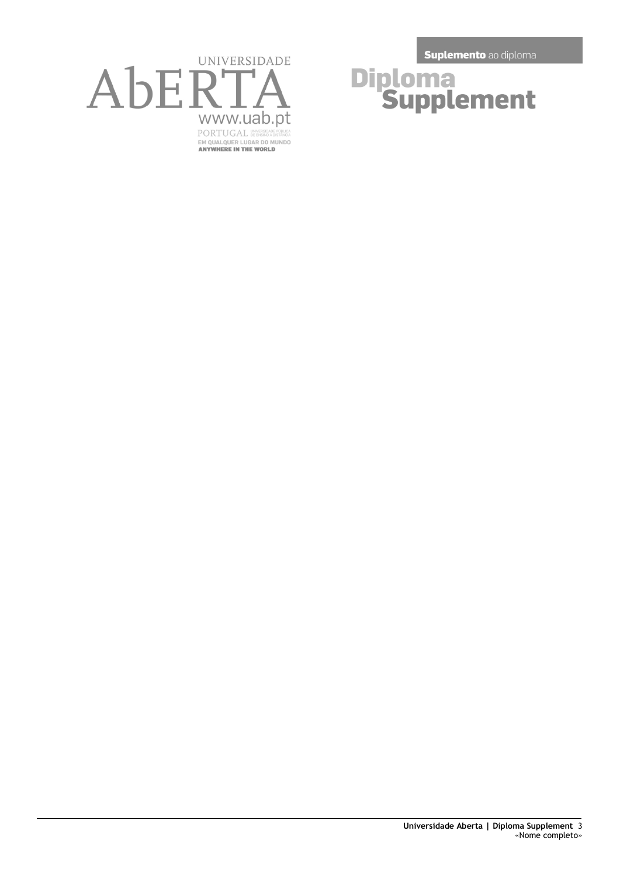

Diploma<br>Supplement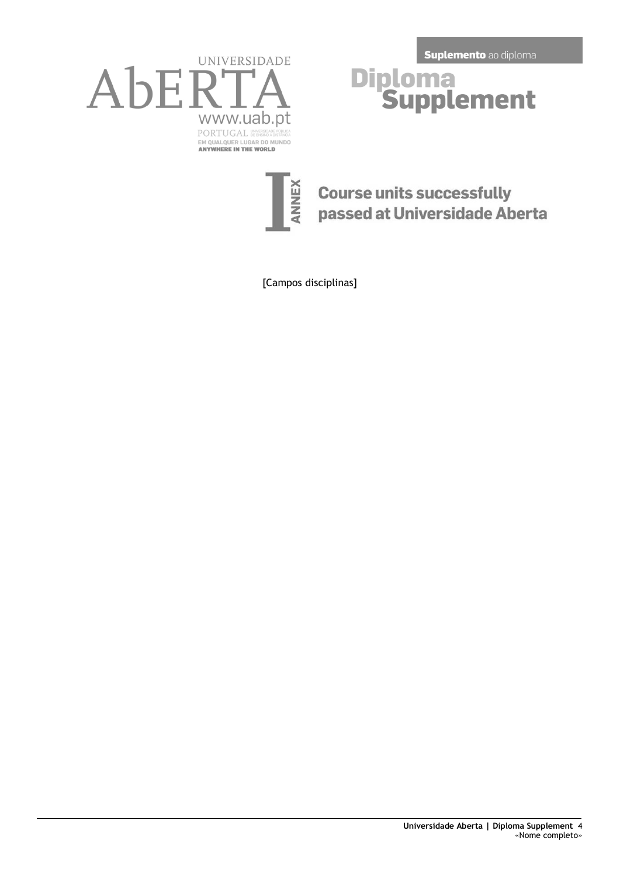

# Diploma<br>Supplement



**Course units successfully** passed at Universidade Aberta

[Campos disciplinas]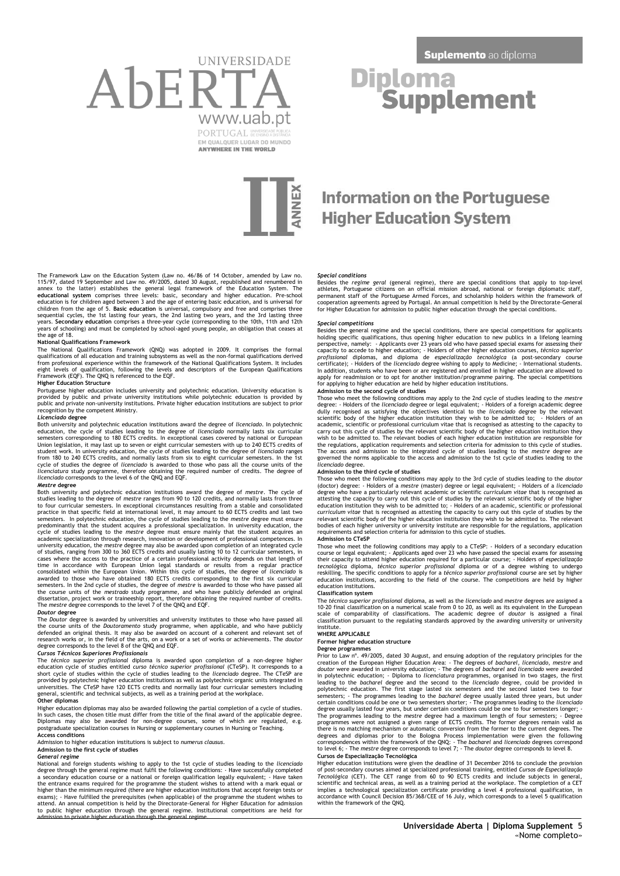## UNIVERSIDADE **AbERT** www.uab.pt

PORTUGAL UNIV EM OUAL OUER LUGAR DO MUNDO ANYWHERE IN THE WORLD



The Framework Law on the Education System (Law no. 46/86 of 14 October, amended by Law no.<br>115/97, dated 19 September and Law no. 49/2005, dated 30 August, republished and renumbered in<br>annex to the latter) establishes the education is for children aged between 3 and the age of entering basic education, and is universal for<br>children from the age of 5. Basic education is universal, compulsory and free and comprises three<br>sequential cycles, th years of schooling) and must be completed by school-aged young people, an obligation that ceases at the age of 18.

#### **National Qualifications Framework**

The National Qualifications Framework (QNQ) was adopted in 2009. It comprises the formal qualifications of all education and training subsystems as well as the non-formal qualifications derived<br>from professional experience

#### **Higher Education Structure**

Portuguese higher education includes university and polytechnic education. University education is<br>provided by public and private university institutions while polytechnic education is provided by<br>public and private non-un recognition by the competent Ministry.

#### *Licenciado* **degree**

Both university and polytechnic education institutions award the degree of *licenciado*. In polytechnic education, the cycle of studies leading to the degree of *licenciado* normally lasts six curricular<br>semesters corresponding to 180 ECTS credits. In exceptional cases covered by national or European Union legislation, it may last up to seven or eight curricular semesters with up to 240 ECTS credits of student work. In university education, the cycle of student work. In university education ranges to the student of stu *licenciatura* study programme, therefore obtaining the required number of credits. The degree of *licenciado* corresponds to the level 6 of the QNQ and EQF.

#### *Mestre* **degree**

Both university and polytechnic education institutions award the degree of mestre. The cycle of<br>studies leading to the degree of mestre ranges from 90 to 120 credits, and normally lasts from three<br>to four curricular semest semesters. In polytechnic education, the cycle of studies leading to the *mestre* degree must ensure predominantly that the student acquires a professional specialization. In university education, the cycle of studies lead cases where the access to the practice of a certain professional activity depends on that length of time in accordance with European Union. Within this cycle of studies, the degree of *literciado* is consolidated within th

#### *Doutor* **degree**

The *Doutor* degree is awarded by universities and university institutes to those who have passed all the course units of the *Doutoramento* study programme, when applicable, and who have publicly defended an original thesis. It may also be awarded on account of a coherent and relevant set of research works or, in the fiel

*Cursos Técnicos Superiores Profissionais* The *técnico superior profissional* diploma is awarded upon completion of a non-degree higher education cycle of studies entitled *curso técnico superior profissional* (CTeSP). It corresponds to a<br>short cycle of studies within the cycle of studies leading to the *licenciado* degree. The CTeSP are<br>provided by polyte universities. The CTeSP have 120 ECTS credits and normally last four curricular semesters including general, scientific and technical subjects, as well as a training period at the workplace.

#### **Other diplomas**

Higher education diplomas may also be awarded following the partial completion of a cycle of studies. In such cases, the chosen title must differ from the title of the final award of the applicable degree.<br>Diplomas may also be awarded for non-degree courses, some of which are regulated, e.g.<br>postgraduate speci **Access conditions**

#### Admission to higher education institutions is subject to *numerus clausus*.

**Admission to the first cycle of studies**

#### *General regime*

National and foreign students wishing to apply to the 1st cycle of studies leading to the *licenciado*<br>degree through the general regime must fulfil the following conditions: - Have successfully completed<br>a secondary educa the entrance exams required for the programme the student wishes to attend with a mark equal or higher than the minimum required (there are higher education institutions that accept foreign tests or<br>exams); - Have fulfilled the prerequisites (when applicable) of the programme the student wishes to<br>attend. An annual c to public higher education through the general regime. Institutional competitions are held for admission to private higher education through the general regime. **Suplemento** ao diploma

# Diploma<br>Supplement

## **Higher Education System**

**Information on the Portuguese** 

#### *Special conditions*

Besides the *regime geral* (general regime), there are special conditions that apply to top-level athletes, Portuguese citizens on an official mission abroad, national or foreign diplomatic staff, permanent staff of the Portuguese Armed Forces, and scholarship holders within the framework of cooperation agreements agreed by Portugal. An annual competition is held by the Directorate-General for Higher Education for admission to public higher education through the special conditions.

**Special competitions**<br> **Special competitions**<br> **Special competitions**<br> **Competitions**<br> **Competition**<br> **Competition**<br> **Competition**<br> **Competition**<br> **Competition**<br> **Competition**<br> **Competition**<br> **Competition**<br> **Competition**<br> for applying to higher education are held by higher education institutions.

#### **Admission to the second cycle of studies**

Those who meet the following conditions may apply to the 2nd cycle of studies leading to the *mestre* degree:  $\cdot$  Holders of the *licenciado* degree or legal equivalent;  $\cdot$  Holders of a foreign academic degree by the the regulations, application requirements and selection criteria for admission to this cycle of studies.<br>The access and admission to the integrated cycle of studies leading to the *mestre* degree are governed the norms app

#### **Admission to the third cycle of studies**

Those who meet the following conditions may apply to the 3rd cycle of studies leading to the *doutor* (doctor) degree: - Holders of a *mestre* (master) degree or legal equivalent; - Holders of a *licenciado* degree who have a particularly relevant academic or scientific *curriculum vitae* that is recognised as attesting the capacity to carry out this cycle of studies by the relevant scientific body of the higher education inst

#### **Admission to CTeSP**

Those who meet the following conditions may apply to a CTeSP: - Holders of a secondary education course or legal equivalent; - Applicants aged over 23 who have passed the special exams for assessing<br>their capacity to attend higher education required for a particular course; - Holders of *especialização*<br>tecnológica di education institutions, according to the field of the course. The competitions are held by higher education institutions.

#### **Classification system**

The *técnico superior profissional* diploma, as well as the *licenciado* and *mestre* degrees are assigned a<br>10-20 final classification on a numerical scale from 0 to 20, as well as its equivalent in the European<br>scale of

#### institute. **WHERE APPLICABLE**

**Former higher education structure**

**Degree programmes**<br>
Prior to Law n°. 49/2005, dated 30 August, and ensuing adoption of the regulatory principles for the<br>
Prior to Law n°. 49/2005, dated 30 August, and ensuing adoption of the regulatory principles for th semesters; - The programmes leading to the *bacharel* degree usually lasted three years, but under certain conditions could be one or two semesters shorter; - The programmes leading to the *licerciado* degree usually laste **Cursos de Especialização Tecnológica**

Higher education institutions were given the deadline of 31 December 2016 to conclude the provision of post-secondary courses aimed at specializzação and raining, entitled Cursos de Especializzação entitles Tecnológica (C